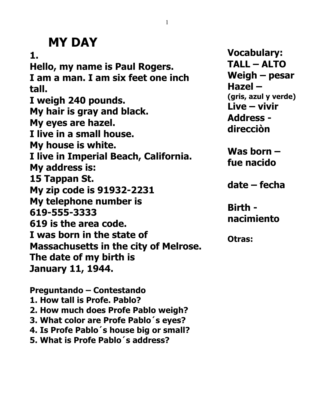# **MY DAY**

**1. Hello, my name is Paul Rogers. I am a man. I am six feet one inch tall. I weigh 240 pounds. My hair is gray and black. My eyes are hazel. I live in a small house. My house is white. I live in Imperial Beach, California. My address is: 15 Tappan St. My zip code is 91932-2231 My telephone number is 619-555-3333 619 is the area code. I was born in the state of Massachusetts in the city of Melrose. The date of my birth is January 11, 1944.** 

**Vocabulary: TALL – ALTO Weigh – pesar Hazel – (gris, azul y verde) Live – vivir Address direcciòn**

**Was born – fue nacido**

**date – fecha**

**Birth nacimiento**

**Otras:**

**Preguntando – Contestando 1. How tall is Profe. Pablo? 2. How much does Profe Pablo weigh? 3. What color are Profe Pablo´s eyes? 4. Is Profe Pablo´s house big or small?**

**5. What is Profe Pablo´s address?**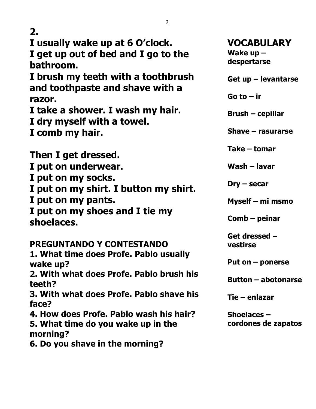| 2.                                                                    |                               |
|-----------------------------------------------------------------------|-------------------------------|
| I usually wake up at 6 O'clock.                                       | <b>VOCABULARY</b>             |
| I get up out of bed and I go to the                                   | Wake $up -$                   |
| bathroom.                                                             | despertarse                   |
| I brush my teeth with a toothbrush<br>and toothpaste and shave with a | Get up - levantarse           |
| razor.                                                                | Go to $-$ ir                  |
| I take a shower. I wash my hair.                                      |                               |
| I dry myself with a towel.                                            | <b>Brush – cepillar</b>       |
| I comb my hair.                                                       | Shave - rasurarse             |
| Then I get dressed.                                                   | Take – tomar                  |
| I put on underwear.                                                   | Wash - lavar                  |
|                                                                       |                               |
| I put on my socks.                                                    | $\textsf{Dry}-\textsf{secar}$ |
| I put on my shirt. I button my shirt.                                 |                               |
| I put on my pants.                                                    | Myself - mi msmo              |
| I put on my shoes and I tie my<br>shoelaces.                          | $Comb$ – peinar               |
|                                                                       | Get dressed -                 |
| PREGUNTANDO Y CONTESTANDO                                             | vestirse                      |
| 1. What time does Profe. Pablo usually                                |                               |
| wake up?                                                              | Put on $-$ ponerse            |
| 2. With what does Profe. Pablo brush his                              | <b>Button - abotonarse</b>    |
| teeth?                                                                |                               |
| 3. With what does Profe. Pablo shave his<br>face?                     | Tie – enlazar                 |
| 4. How does Profe. Pablo wash his hair?                               | Shoelaces $-$                 |
| 5. What time do you wake up in the<br>morning?                        | cordones de zapatos           |
|                                                                       |                               |

6. Do you shave in the morning?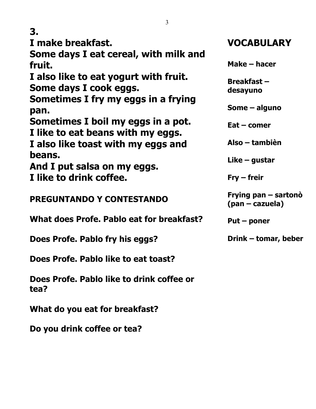**I make breakfast.**

**Some days I eat cereal, with milk and fruit.**

**I also like to eat yogurt with fruit. Some days I cook eggs.**

**Sometimes I fry my eggs in a frying pan.**

**Sometimes I boil my eggs in a pot. I like to eat beans with my eggs.**

**I also like toast with my eggs and beans.**

**And I put salsa on my eggs. I like to drink coffee.**

**PREGUNTANDO Y CONTESTANDO**

**What does Profe. Pablo eat for breakfast?**

**Does Profe. Pablo fry his eggs?**

**Does Profe. Pablo like to eat toast?**

**Does Profe. Pablo like to drink coffee or tea?**

**What do you eat for breakfast?**

**Do you drink coffee or tea?**

## **VOCABULARY**

**Make – hacer**

**Breakfast – desayuno**

**Some – alguno**

**Eat – comer**

**Also – tambièn**

**Like – gustar**

**Fry – freir**

**Frying pan – sartonò (pan – cazuela)**

**Put – poner**

**Drink – tomar, beber**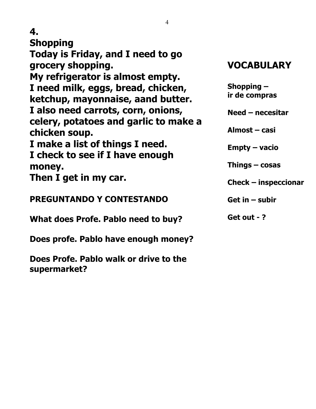| 4                                                      |                        |
|--------------------------------------------------------|------------------------|
| 4.                                                     |                        |
| <b>Shopping</b>                                        |                        |
| Today is Friday, and I need to go                      |                        |
| grocery shopping.                                      | <b>VOCABULARY</b>      |
| My refrigerator is almost empty.                       |                        |
| I need milk, eggs, bread, chicken,                     | Shopping $-$           |
| ketchup, mayonnaise, aand butter.                      | ir de compras          |
| I also need carrots, corn, onions,                     | $Need - necesitar$     |
| celery, potatoes and garlic to make a                  |                        |
| chicken soup.                                          | Almost - casi          |
| I make a list of things I need.                        | Empty – vacio          |
| I check to see if I have enough                        |                        |
| money.                                                 | Things $-$ cosas       |
| Then I get in my car.                                  | $Check - inspectionar$ |
|                                                        |                        |
| <b>PREGUNTANDO Y CONTESTANDO</b>                       | Get in $-$ subir       |
| What does Profe. Pablo need to buy?                    | Get out - ?            |
|                                                        |                        |
| Does profe. Pablo have enough money?                   |                        |
| Does Profe. Pablo walk or drive to the<br>supermarket? |                        |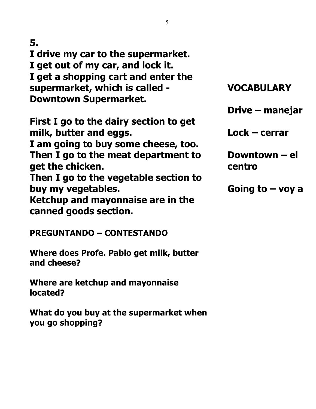I drive my car to the supermarket. I get out of my car, and lock it. I get a shopping cart and enter the supermarket, which is called -**Downtown Supermarket.** 

First I go to the dairy section to get milk, butter and eggs.

I am going to buy some cheese, too. Then I go to the meat department to get the chicken.

Then I go to the vegetable section to buy my vegetables.

Ketchup and mayonnaise are in the canned goods section.

# **VOCABULARY**

Drive – manejar

 $Lock - cerrar$ 

Downtown – el centro

Going to  $-$  voy a

**PREGUNTANDO – CONTESTANDO** 

Where does Profe. Pablo get milk, butter and cheese?

Where are ketchup and mayonnaise located?

What do you buy at the supermarket when you go shopping?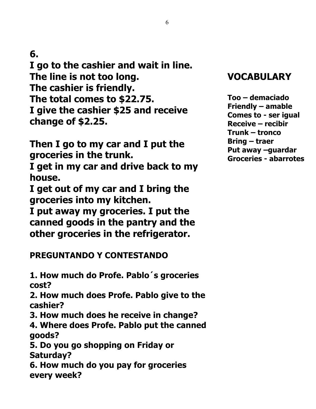I go to the cashier and wait in line. The line is not too long. The cashier is friendly. The total comes to \$22.75. I give the cashier \$25 and receive change of \$2.25.

Then I go to my car and I put the groceries in the trunk.

I get in my car and drive back to my house.

I get out of my car and I bring the groceries into my kitchen.

I put away my groceries. I put the canned goods in the pantry and the other groceries in the refrigerator.

#### **PREGUNTANDO Y CONTESTANDO**

1. How much do Profe. Pablo's groceries cost?

2. How much does Profe. Pablo give to the cashier?

3. How much does he receive in change?

4. Where does Profe. Pablo put the canned qoods?

5. Do you go shopping on Friday or **Saturday?** 

6. How much do you pay for groceries every week?

## **VOCABULARY**

Too – demaciado **Friendly - amable** Comes to - ser igual **Receive – recibir** Trunk – tronco **Bring – traer** Put away -guardar **Groceries - abarrotes**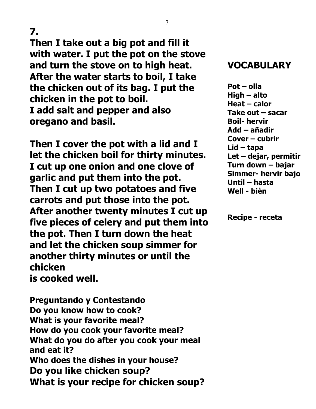**Then I take out a big pot and fill it with water. I put the pot on the stove and turn the stove on to high heat. After the water starts to boil, I take the chicken out of its bag. I put the chicken in the pot to boil. I add salt and pepper and also oregano and basil.**

**Then I cover the pot with a lid and I let the chicken boil for thirty minutes. I cut up one onion and one clove of garlic and put them into the pot. Then I cut up two potatoes and five carrots and put those into the pot. After another twenty minutes I cut up five pieces of celery and put them into the pot. Then I turn down the heat and let the chicken soup simmer for another thirty minutes or until the chicken is cooked well.**

**Preguntando y Contestando Do you know how to cook? What is your favorite meal? How do you cook your favorite meal? What do you do after you cook your meal and eat it? Who does the dishes in your house? Do you like chicken soup? What is your recipe for chicken soup?** 

#### **VOCABULARY**

**Pot – olla High – alto Heat – calor Take out – sacar Boil- hervir Add – añadir Cover – cubrir Lid – tapa Let – dejar, permitir Turn down – bajar Simmer- hervir bajo Until – hasta Well - bièn**

**Recipe - receta**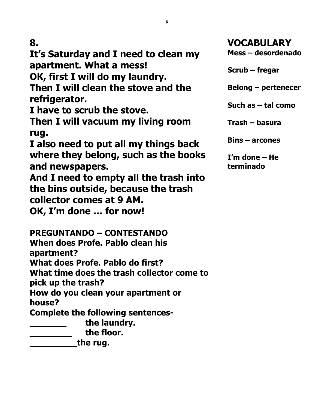**It's Saturday and I need to clean my apartment. What a mess!**

**OK, first I will do my laundry.**

**Then I will clean the stove and the refrigerator.**

**I have to scrub the stove.**

**Then I will vacuum my living room rug.**

**I also need to put all my things back where they belong, such as the books and newspapers.**

**And I need to empty all the trash into the bins outside, because the trash collector comes at 9 AM.**

**OK, I'm done … for now!**

**PREGUNTANDO – CONTESTANDO When does Profe. Pablo clean his apartment?**

**What does Profe. Pablo do first?**

**What time does the trash collector come to** 

**pick up the trash?**

**How do you clean your apartment or house?**

**Complete the following sentences-**

**\_\_\_\_\_\_\_ the laundry.**

**\_\_\_\_\_\_\_\_ the floor.**

**\_\_\_\_\_\_\_\_\_the rug.**

**VOCABULARY Mess – desordenado**

**Scrub – fregar**

**Belong – pertenecer**

**Such as – tal como**

**Trash – basura**

**Bins – arcones**

**I'm done – He terminado**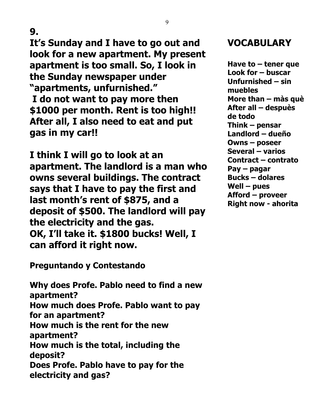**It's Sunday and I have to go out and look for a new apartment. My present apartment is too small. So, I look in the Sunday newspaper under "apartments, unfurnished." I do not want to pay more then \$1000 per month. Rent is too high!! After all, I also need to eat and put gas in my car!!**

**I think I will go to look at an apartment. The landlord is a man who owns several buildings. The contract says that I have to pay the first and last month's rent of \$875, and a deposit of \$500. The landlord will pay the electricity and the gas. OK, I'll take it. \$1800 bucks! Well, I can afford it right now.**

**Preguntando y Contestando**

**Why does Profe. Pablo need to find a new apartment? How much does Profe. Pablo want to pay for an apartment? How much is the rent for the new apartment? How much is the total, including the deposit? Does Profe. Pablo have to pay for the electricity and gas?**

#### **VOCABULARY**

**Have to – tener que Look for – buscar Unfurnished – sin muebles More than – màs què After all – despuès de todo Think – pensar Landlord – dueño Owns – poseer Several – varios Contract – contrato Pay – pagar Bucks – dolares Well – pues Afford – proveer Right now - ahorita**